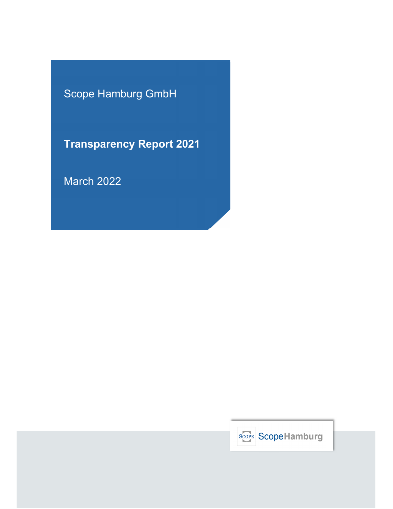Scope Hamburg GmbH

**Transparency Report 2021**

March 2022

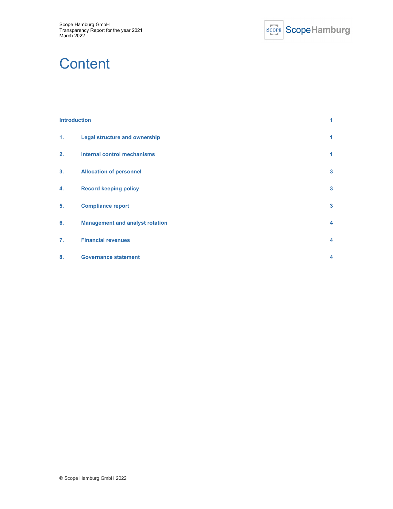

# **Content**

# **Introduction 1 1. Legal structure and ownership 1 2. Internal control mechanisms 1 3. Allocation of personnel 3 4. Record keeping policy 3 5. Compliance report 3 6. Management and analyst rotation 4 7. Financial revenues 4 8. Governance statement 4**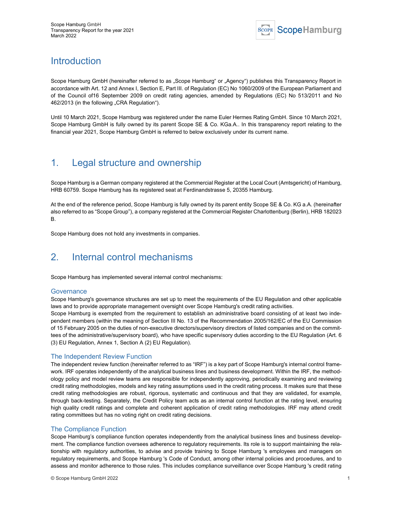

# Introduction

Scope Hamburg GmbH (hereinafter referred to as "Scope Hamburg" or "Agency") publishes this Transparency Report in accordance with Art. 12 and Annex I, Section E, Part III. of Regulation (EC) No 1060/2009 of the European Parliament and of the Council of16 September 2009 on credit rating agencies, amended by Regulations (EC) No 513/2011 and No 462/2013 (in the following "CRA Regulation").

Until 10 March 2021, Scope Hamburg was registered under the name Euler Hermes Rating GmbH. Since 10 March 2021, Scope Hamburg GmbH is fully owned by its parent Scope SE & Co. KGa.A.. In this transparency report relating to the financial year 2021, Scope Hamburg GmbH is referred to below exclusively under its current name.

# 1. Legal structure and ownership

Scope Hamburg is a German company registered at the Commercial Register at the Local Court (Amtsgericht) of Hamburg, HRB 60759. Scope Hamburg has its registered seat at Ferdinandstrasse 5, 20355 Hamburg.

At the end of the reference period, Scope Hamburg is fully owned by its parent entity Scope SE & Co. KG a.A. (hereinafter also referred to as "Scope Group"), a company registered at the Commercial Register Charlottenburg (Berlin), HRB 182023 B.

Scope Hamburg does not hold any investments in companies.

# 2. Internal control mechanisms

Scope Hamburg has implemented several internal control mechanisms:

#### **Governance**

Scope Hamburg's governance structures are set up to meet the requirements of the EU Regulation and other applicable laws and to provide appropriate management oversight over Scope Hamburg's credit rating activities.

Scope Hamburg is exempted from the requirement to establish an administrative board consisting of at least two independent members (within the meaning of Section III No. 13 of the Recommendation 2005/162/EC of the EU Commission of 15 February 2005 on the duties of non-executive directors/supervisory directors of listed companies and on the committees of the administrative/supervisory board), who have specific supervisory duties according to the EU Regulation (Art. 6 (3) EU Regulation, Annex 1, Section A (2) EU Regulation).

#### The Independent Review Function

The independent review function (hereinafter referred to as "IRF") is a key part of Scope Hamburg's internal control framework. IRF operates independently of the analytical business lines and business development. Within the IRF, the methodology policy and model review teams are responsible for independently approving, periodically examining and reviewing credit rating methodologies, models and key rating assumptions used in the credit rating process. It makes sure that these credit rating methodologies are robust, rigorous, systematic and continuous and that they are validated, for example, through back-testing. Separately, the Credit Policy team acts as an internal control function at the rating level, ensuring high quality credit ratings and complete and coherent application of credit rating methodologies. IRF may attend credit rating committees but has no voting right on credit rating decisions.

#### The Compliance Function

Scope Hamburg's compliance function operates independently from the analytical business lines and business development. The compliance function oversees adherence to regulatory requirements. Its role is to support maintaining the relationship with regulatory authorities, to advise and provide training to Scope Hamburg 's employees and managers on regulatory requirements, and Scope Hamburg 's Code of Conduct, among other internal policies and procedures, and to assess and monitor adherence to those rules. This includes compliance surveillance over Scope Hamburg 's credit rating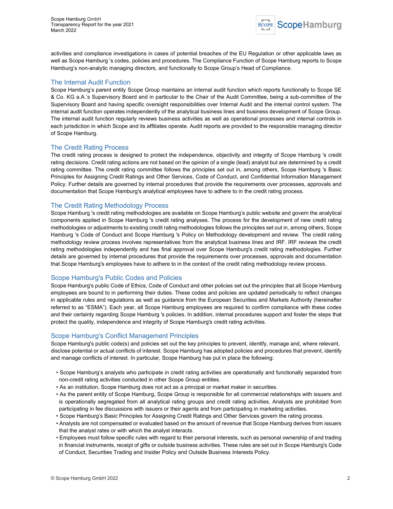

activities and compliance investigations in cases of potential breaches of the EU Regulation or other applicable laws as well as Scope Hamburg 's codes, policies and procedures. The Compliance Function of Scope Hamburg reports to Scope Hamburg's non-analytic managing directors, and functionally to Scope Group's Head of Compliance.

#### The Internal Audit Function

Scope Hamburg's parent entity Scope Group maintains an internal audit function which reports functionally to Scope SE & Co. KG a.A.'s Supervisory Board and in particular to the Chair of the Audit Committee, being a sub-committee of the Supervisory Board and having specific oversight responsibilities over Internal Audit and the internal control system. The internal audit function operates independently of the analytical business lines and business development of Scope Group. The internal audit function regularly reviews business activities as well as operational processes and internal controls in each jurisdiction in which Scope and its affiliates operate. Audit reports are provided to the responsible managing director of Scope Hamburg.

#### The Credit Rating Process

The credit rating process is designed to protect the independence, objectivity and integrity of Scope Hamburg 's credit rating decisions. Credit rating actions are not based on the opinion of a single (lead) analyst but are determined by a credit rating committee. The credit rating committee follows the principles set out in, among others, Scope Hamburg 's Basic Principles for Assigning Credit Ratings and Other Services, Code of Conduct, and Confidential Information Management Policy. Further details are governed by internal procedures that provide the requirements over processes, approvals and documentation that Scope Hamburg's analytical employees have to adhere to in the credit rating process.

#### The Credit Rating Methodology Process

Scope Hamburg 's credit rating methodologies are available on Scope Hamburg's public website and govern the analytical components applied in Scope Hamburg 's credit rating analyses. The process for the development of new credit rating methodologies or adjustments to existing credit rating methodologies follows the principles set out in, among others, Scope Hamburg 's Code of Conduct and Scope Hamburg 's Policy on Methodology development and review. The credit rating methodology review process involves representatives from the analytical business lines and IRF. IRF reviews the credit rating methodologies independently and has final approval over Scope Hamburg's credit rating methodologies. Further details are governed by internal procedures that provide the requirements over processes, approvals and documentation that Scope Hamburg's employees have to adhere to in the context of the credit rating methodology review process.

#### Scope Hamburg's Public Codes and Policies

Scope Hamburg's public Code of Ethics, Code of Conduct and other policies set out the principles that all Scope Hamburg employees are bound to in performing their duties. These codes and policies are updated periodically to reflect changes in applicable rules and regulations as well as guidance from the European Securities and Markets Authority (hereinafter referred to as "ESMA"). Each year, all Scope Hamburg employees are required to confirm compliance with these codes and their certainty regarding Scope Hamburg 's policies. In addition, internal procedures support and foster the steps that protect the quality, independence and integrity of Scope Hamburg's credit rating activities.

#### Scope Hamburg's Conflict Management Principles

Scope Hamburg's public code(s) and policies set out the key principles to prevent, identify, manage and, where relevant, disclose potential or actual conflicts of interest. Scope Hamburg has adopted policies and procedures that prevent, identify and manage conflicts of interest. In particular, Scope Hamburg has put in place the following:

- Scope Hamburg's analysts who participate in credit rating activities are operationally and functionally separated from non-credit rating activities conducted in other Scope Group entities.
- As an institution, Scope Hamburg does not act as a principal or market maker in securities.
- As the parent entity of Scope Hamburg, Scope Group is responsible for all commercial relationships with issuers and is operationally segregated from all analytical rating groups and credit rating activities. Analysts are prohibited from participating in fee discussions with issuers or their agents and from participating in marketing activities.
- Scope Hamburg's Basic Principles for Assigning Credit Ratings and Other Services govern the rating process.
- Analysts are not compensated or evaluated based on the amount of revenue that Scope Hamburg derives from issuers that the analyst rates or with which the analyst interacts.
- Employees must follow specific rules with regard to their personal interests, such as personal ownership of and trading in financial instruments, receipt of gifts or outside business activities. These rules are set out in Scope Hamburg's Code of Conduct, Securities Trading and Insider Policy and Outside Business Interests Policy.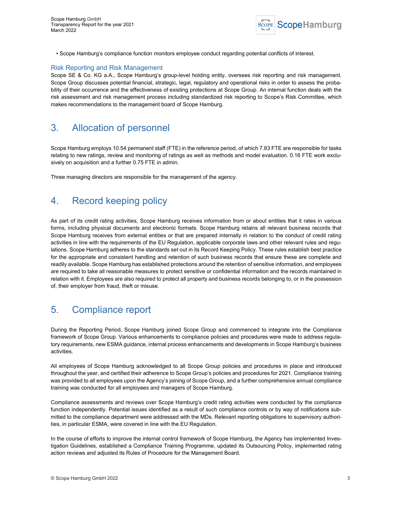

• Scope Hamburg's compliance function monitors employee conduct regarding potential conflicts of interest.

#### Risk Reporting and Risk Management

Scope SE & Co. KG a.A., Scope Hamburg's group-level holding entity, oversees risk reporting and risk management. Scope Group discusses potential financial, strategic, legal, regulatory and operational risks in order to assess the probability of their occurrence and the effectiveness of existing protections at Scope Group. An internal function deals with the risk assessment and risk management process including standardized risk reporting to Scope's Risk Committee, which makes recommendations to the management board of Scope Hamburg.

### 3. Allocation of personnel

Scope Hamburg employs 10.54 permanent staff (FTE) in the reference period, of which 7.83 FTE are responsible for tasks relating to new ratings, review and monitoring of ratings as well as methods and model evaluation. 0.16 FTE work exclusively on acquisition and a further 0.75 FTE in admin.

Three managing directors are responsible for the management of the agency.

## 4. Record keeping policy

As part of its credit rating activities, Scope Hamburg receives information from or about entities that it rates in various forms, including physical documents and electronic formats. Scope Hamburg retains all relevant business records that Scope Hamburg receives from external entities or that are prepared internally in relation to the conduct of credit rating activities in line with the requirements of the EU Regulation, applicable corporate laws and other relevant rules and regulations. Scope Hamburg adheres to the standards set out in its Record Keeping Policy. These rules establish best practice for the appropriate and consistent handling and retention of such business records that ensure these are complete and readily available. Scope Hamburg has established protections around the retention of sensitive information, and employees are required to take all reasonable measures to protect sensitive or confidential information and the records maintained in relation with it. Employees are also required to protect all property and business records belonging to, or in the possession of, their employer from fraud, theft or misuse.

## 5. Compliance report

During the Reporting Period, Scope Hamburg joined Scope Group and commenced to integrate into the Compliance framework of Scope Group. Various enhancements to compliance policies and procedures were made to address regulatory requirements, new ESMA guidance, internal process enhancements and developments in Scope Hamburg's business activities.

All employees of Scope Hamburg acknowledged to all Scope Group policies and procedures in place and introduced throughout the year, and certified their adherence to Scope Group's policies and procedures for 2021. Compliance training was provided to all employees upon the Agency's joining of Scope Group, and a further comprehensive annual compliance training was conducted for all employees and managers of Scope Hamburg.

Compliance assessments and reviews over Scope Hamburg's credit rating activities were conducted by the compliance function independently. Potential issues identified as a result of such compliance controls or by way of notifications submitted to the compliance department were addressed with the MDs. Relevant reporting obligations to supervisory authorities, in particular ESMA, were covered in line with the EU Regulation.

In the course of efforts to improve the internal control framework of Scope Hamburg, the Agency has implemented Investigation Guidelines, established a Compliance Training Programme, updated its Outsourcing Policy, implemented rating action reviews and adjusted its Rules of Procedure for the Management Board.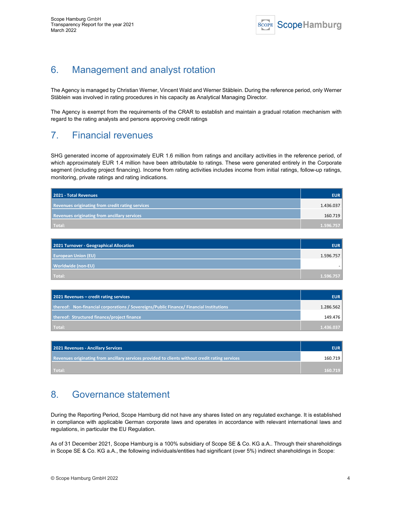

# 6. Management and analyst rotation

The Agency is managed by Christian Werner, Vincent Wald and Werner Stäblein. During the reference period, only Werner Stäblein was involved in rating procedures in his capacity as Analytical Managing Director.

The Agency is exempt from the requirements of the CRAR to establish and maintain a gradual rotation mechanism with regard to the rating analysts and persons approving credit ratings

### 7. Financial revenues

SHG generated income of approximately EUR 1.6 million from ratings and ancillary activities in the reference period, of which approximately EUR 1.4 million have been attributable to ratings. These were generated entirely in the Corporate segment (including project financing). Income from rating activities includes income from initial ratings, follow-up ratings, monitoring, private ratings and rating indications.

| 2021 - Total Revenues                               | <b>EUR</b> |
|-----------------------------------------------------|------------|
| Revenues originating from credit rating services    | 1.436.037  |
| <b>Revenues originating from ancillary services</b> | 160.719    |
| Total:                                              | 1.596.757  |

| 2021 Turnover - Geographical Allocation | <b>EUR</b> |
|-----------------------------------------|------------|
| <b>European Union (EU)</b>              | 1.596.757  |
| Worldwide (non-EU)                      |            |
| Total:                                  | 1.596.757  |

| 2021 Revenues – credit rating services                                                  | <b>EUR</b> |
|-----------------------------------------------------------------------------------------|------------|
| thereof: Non-financial corporations / Sovereigns/Public Finance/ Financial Institutions | 1.286.562  |
| thereof: Structured finance/project finance                                             | 149.476    |
| Total:                                                                                  | 1.436.037  |

| 2021 Revenues - Ancillary Services                                                              | <b>EUR</b> |
|-------------------------------------------------------------------------------------------------|------------|
| Revenues originating from ancillary services provided to clients without credit rating services | 160.719    |
| Total:                                                                                          | 160.719    |

## 8. Governance statement

During the Reporting Period, Scope Hamburg did not have any shares listed on any regulated exchange. It is established in compliance with applicable German corporate laws and operates in accordance with relevant international laws and regulations, in particular the EU Regulation.

As of 31 December 2021, Scope Hamburg is a 100% subsidiary of Scope SE & Co. KG a.A.. Through their shareholdings in Scope SE & Co. KG a.A., the following individuals/entities had significant (over 5%) indirect shareholdings in Scope: